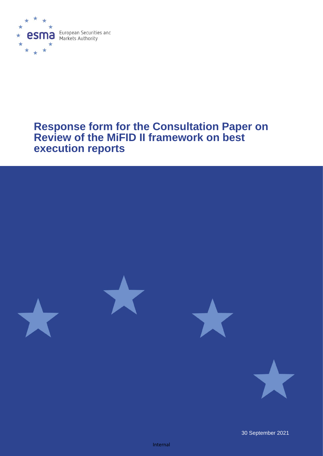

# **Response form for the Consultation Paper on Review of the MiFID II framework on best execution reports**



30 September 2021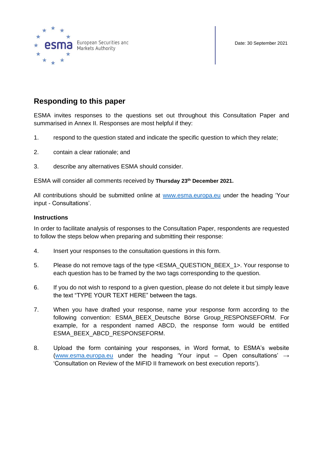



# **Responding to this paper**

ESMA invites responses to the questions set out throughout this Consultation Paper and summarised in Annex II. Responses are most helpful if they:

- 1. respond to the question stated and indicate the specific question to which they relate;
- 2. contain a clear rationale; and
- 3. describe any alternatives ESMA should consider.

ESMA will consider all comments received by **Thursday 23th December 2021.**

All contributions should be submitted online at [www.esma.europa.eu](http://www.esma.europa.eu/) under the heading 'Your input - Consultations'.

#### **Instructions**

In order to facilitate analysis of responses to the Consultation Paper, respondents are requested to follow the steps below when preparing and submitting their response:

- 4. Insert your responses to the consultation questions in this form.
- 5. Please do not remove tags of the type <ESMA\_QUESTION\_BEEX\_1>. Your response to each question has to be framed by the two tags corresponding to the question.
- 6. If you do not wish to respond to a given question, please do not delete it but simply leave the text "TYPE YOUR TEXT HERE" between the tags.
- 7. When you have drafted your response, name your response form according to the following convention: ESMA\_BEEX\_Deutsche Börse Group\_RESPONSEFORM. For example, for a respondent named ABCD, the response form would be entitled ESMA\_BEEX\_ABCD\_RESPONSEFORM.
- 8. Upload the form containing your responses, in Word format, to ESMA's website [\(www.esma.europa.eu](http://www.esma.europa.eu/) under the heading 'Your input – Open consultations'  $\rightarrow$ 'Consultation on Review of the MiFID II framework on best execution reports').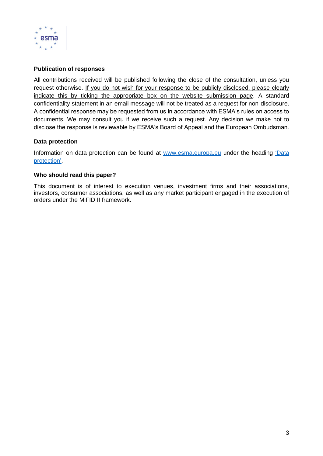

### **Publication of responses**

All contributions received will be published following the close of the consultation, unless you request otherwise. If you do not wish for your response to be publicly disclosed, please clearly indicate this by ticking the appropriate box on the website submission page. A standard confidentiality statement in an email message will not be treated as a request for non-disclosure. A confidential response may be requested from us in accordance with ESMA's rules on access to documents. We may consult you if we receive such a request. Any decision we make not to disclose the response is reviewable by ESMA's Board of Appeal and the European Ombudsman.

#### **Data protection**

Information on data protection can be found at [www.esma.europa.eu](http://www.esma.europa.eu/) under the heading ['Data](https://www.esma.europa.eu/about-esma/data-protection)  [protection'](https://www.esma.europa.eu/about-esma/data-protection).

#### **Who should read this paper?**

This document is of interest to execution venues, investment firms and their associations, investors, consumer associations, as well as any market participant engaged in the execution of orders under the MiFID II framework.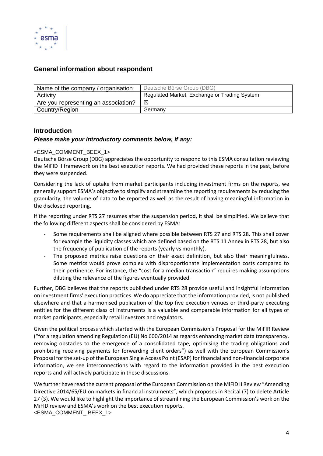

# **General information about respondent**

| Name of the company / organisation   | Deutsche Börse Group (DBG)                   |
|--------------------------------------|----------------------------------------------|
| Activity                             | Regulated Market, Exchange or Trading System |
| Are you representing an association? | ⊠                                            |
| Country/Region                       | Germany                                      |

# **Introduction**

#### *Please make your introductory comments below, if any:*

#### <ESMA\_COMMENT\_BEEX\_1>

Deutsche Börse Group (DBG) appreciates the opportunity to respond to this ESMA consultation reviewing the MiFID II framework on the best execution reports. We had provided these reports in the past, before they were suspended.

Considering the lack of uptake from market participants including investment firms on the reports, we generally support ESMA's objective to simplify and streamline the reporting requirements by reducing the granularity, the volume of data to be reported as well as the result of having meaningful information in the disclosed reporting.

If the reporting under RTS 27 resumes after the suspension period, it shall be simplified. We believe that the following different aspects shall be considered by ESMA:

- Some requirements shall be aligned where possible between RTS 27 and RTS 28. This shall cover for example the liquidity classes which are defined based on the RTS 11 Annex in RTS 28, but also the frequency of publication of the reports (yearly vs monthly).
- The proposed metrics raise questions on their exact definition, but also their meaningfulness. Some metrics would prove complex with disproportionate implementation costs compared to their pertinence. For instance, the "cost for a median transaction" requires making assumptions diluting the relevance of the figures eventually provided.

Further, DBG believes that the reports published under RTS 28 provide useful and insightful information on investment firms' execution practices. We do appreciate that the information provided, is not published elsewhere and that a harmonised publication of the top five execution venues or third-party executing entities for the different class of instruments is a valuable and comparable information for all types of market participants, especially retail investors and regulators.

Given the political process which started with the European Commission's Proposal for the MiFIR Review ("for a regulation amending Regulation (EU) No 600/2014 as regards enhancing market data transparency, removing obstacles to the emergence of a consolidated tape, optimising the trading obligations and prohibiting receiving payments for forwarding client orders") as well with the European Commission's Proposal for the set-up of the European Single Access Point (ESAP) for financial and non-financial corporate information, we see interconnections with regard to the information provided in the best execution reports and will actively participate in these discussions.

We further have read the current proposal of the European Commission on the MiFID II Review "Amending Directive 2014/65/EU on markets in financial instruments", which proposes in Recital (7) to delete Article 27 (3). We would like to highlight the importance of streamlining the European Commission's work on the MiFID review and ESMA's work on the best execution reports. <ESMA\_COMMENT\_ BEEX\_1>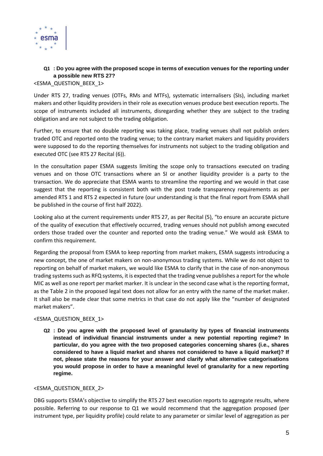

# **Q1 : Do you agree with the proposed scope in terms of execution venues for the reporting under a possible new RTS 27?**

<ESMA\_QUESTION\_BEEX\_1>

Under RTS 27, trading venues (OTFs, RMs and MTFs), systematic internalisers (SIs), including market makers and other liquidity providers in their role as execution venues produce best execution reports. The scope of instruments included all instruments, disregarding whether they are subject to the trading obligation and are not subject to the trading obligation.

Further, to ensure that no double reporting was taking place, trading venues shall not publish orders traded OTC and reported onto the trading venue; to the contrary market makers and liquidity providers were supposed to do the reporting themselves for instruments not subject to the trading obligation and executed OTC (see RTS 27 Recital (6)).

In the consultation paper ESMA suggests limiting the scope only to transactions executed on trading venues and on those OTC transactions where an SI or another liquidity provider is a party to the transaction. We do appreciate that ESMA wants to streamline the reporting and we would in that case suggest that the reporting is consistent both with the post trade transparency requirements as per amended RTS 1 and RTS 2 expected in future (our understanding is that the final report from ESMA shall be published in the course of first half 2022).

Looking also at the current requirements under RTS 27, as per Recital (5), "to ensure an accurate picture of the quality of execution that effectively occurred, trading venues should not publish among executed orders those traded over the counter and reported onto the trading venue." We would ask ESMA to confirm this requirement.

Regarding the proposal from ESMA to keep reporting from market makers, ESMA suggests introducing a new concept, the one of market makers on non-anonymous trading systems. While we do not object to reporting on behalf of market makers, we would like ESMA to clarify that in the case of non-anonymous trading systems such as RFQ systems, it is expected that the trading venue publishes a report for the whole MIC as well as one report per market marker. It is unclear in the second case what is the reporting format, as the Table 2 in the proposed legal text does not allow for an entry with the name of the market maker. It shall also be made clear that some metrics in that case do not apply like the "number of designated market makers".

#### <ESMA\_QUESTION\_BEEX\_1>

**Q2 : Do you agree with the proposed level of granularity by types of financial instruments instead of individual financial instruments under a new potential reporting regime? In particular, do you agree with the two proposed categories concerning shares (i.e., shares considered to have a liquid market and shares not considered to have a liquid market)? If not, please state the reasons for your answer and clarify what alternative categorisations you would propose in order to have a meaningful level of granularity for a new reporting regime.**

#### <ESMA\_QUESTION\_BEEX\_2>

DBG supports ESMA's objective to simplify the RTS 27 best execution reports to aggregate results, where possible. Referring to our response to Q1 we would recommend that the aggregation proposed (per instrument type, per liquidity profile) could relate to any parameter or similar level of aggregation as per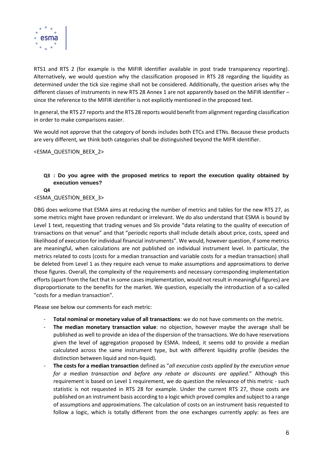

RTS1 and RTS 2 (for example is the MIFIR identifier available in post trade transparency reporting). Alternatively, we would question why the classification proposed in RTS 28 regarding the liquidity as determined under the tick size regime shall not be considered. Additionally, the question arises why the different classes of instruments in new RTS 28 Annex 1 are not apparently based on the MiFIR identifier – since the reference to the MIFIR identifier is not explicitly mentioned in the proposed text.

In general, the RTS 27 reports and the RTS 28 reports would benefit from alignment regarding classification in order to make comparisons easier.

We would not approve that the category of bonds includes both ETCs and ETNs. Because these products are very different, we think both categories shall be distinguished beyond the MIFR identifier.

<ESMA\_QUESTION\_BEEX\_2>

#### **Q3 : Do you agree with the proposed metrics to report the execution quality obtained by execution venues?**

**Q4**

#### <ESMA\_QUESTION\_BEEX\_3>

DBG does welcome that ESMA aims at reducing the number of metrics and tables for the new RTS 27, as some metrics might have proven redundant or irrelevant. We do also understand that ESMA is bound by Level 1 text, requesting that trading venues and SIs provide "data relating to the quality of execution of transactions on that venue" and that "periodic reports shall include details about price, costs, speed and likelihood of execution for individual financial instruments". We would, however question, if some metrics are meaningful, when calculations are not published on individual instrument level. In particular, the metrics related to costs (costs for a median transaction and variable costs for a median transaction) shall be deleted from Level 1 as they require each venue to make assumptions and approximations to derive those figures. Overall, the complexity of the requirements and necessary corresponding implementation efforts (apart from the fact that in some cases implementation, would not result in meaningful figures) are disproportionate to the benefits for the market. We question, especially the introduction of a so-called "costs for a median transaction".

Please see below our comments for each metric:

- **Total nominal or monetary value of all transactions**: we do not have comments on the metric.
- The median monetary transaction value: no objection, however maybe the average shall be published as well to provide an idea of the dispersion of the transactions. We do have reservations given the level of aggregation proposed by ESMA. Indeed, it seems odd to provide a median calculated across the same instrument type, but with different liquidity profile (besides the distinction between liquid and non-liquid).
- **The costs for a median transaction** defined as "*all execution costs applied by the execution venue for a median transaction and before any rebate or discounts are applied*." Although this requirement is based on Level 1 requirement, we do question the relevance of this metric - such statistic is not requested in RTS 28 for example. Under the current RTS 27, those costs are published on an instrument basis according to a logic which proved complex and subject to a range of assumptions and approximations. The calculation of costs on an instrument basis requested to follow a logic, which is totally different from the one exchanges currently apply: as fees are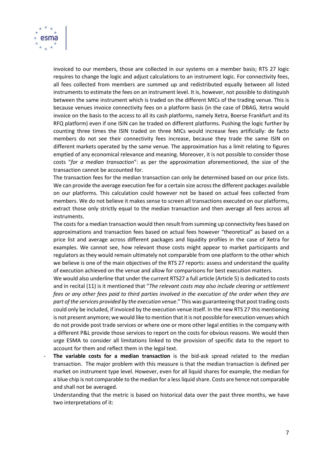

invoiced to our members, those are collected in our systems on a member basis; RTS 27 logic requires to change the logic and adjust calculations to an instrument logic. For connectivity fees, all fees collected from members are summed up and redistributed equally between all listed instruments to estimate the fees on an instrument level. It is, however, not possible to distinguish between the same instrument which is traded on the different MICs of the trading venue. This is because venues invoice connectivity fees on a platform basis (in the case of DBAG, Xetra would invoice on the basis to the access to all its cash platforms, namely Xetra, Boerse Frankfurt and its RFQ platform) even if one ISIN can be traded on different platforms. Pushing the logic further by counting three times the ISIN traded on three MICs would increase fees artificially: de facto members do not see their connectivity fees increase, because they trade the same ISIN on different markets operated by the same venue. The approximation has a limit relating to figures emptied of any economical relevance and meaning. Moreover, it is not possible to consider those costs "*for a median transaction*": as per the approximation aforementioned, the size of the transaction cannot be accounted for.

The transaction fees for the median transaction can only be determined based on our price lists. We can provide the average execution fee for a certain size across the different packages available on our platforms. This calculation could however not be based on actual fees collected from members. We do not believe it makes sense to screen all transactions executed on our platforms, extract those only strictly equal to the median transaction and then average all fees across all instruments.

The costs for a median transaction would then result from summing up connectivity fees based on approximations and transaction fees based on actual fees however "theoretical" as based on a price list and average across different packages and liquidity profiles in the case of Xetra for examples. We cannot see, how relevant those costs might appear to market participants and regulators as they would remain ultimately not comparable from one platform to the other which we believe is one of the main objectives of the RTS 27 reports: assess and understand the quality of execution achieved on the venue and allow for comparisons for best execution matters.

We would also underline that under the current RTS27 a full article (Article 5) is dedicated to costs and in recital (11) is it mentioned that "*The relevant costs may also include clearing or settlement fees or any other fees paid to third parties involved in the execution of the order when they are part of the services provided by the execution venue*." This was guaranteeing that post trading costs could only be included, if invoiced by the execution venue itself. In the new RTS 27 this mentioning is not present anymore; we would like to mention that it is not possible for execution venues which do not provide post trade services or where one or more other legal entities in the company with a different P&L provide those services to report on the costs for obvious reasons. We would then urge ESMA to consider all limitations linked to the provision of specific data to the report to account for them and reflect them in the legal text.

The variable costs for a median transaction is the bid-ask spread related to the median transaction. The major problem with this measure is that the median transaction is defined per market on instrument type level. However, even for all liquid shares for example, the median for a blue chip is not comparable to the median for a less liquid share. Costs are hence not comparable and shall not be averaged.

Understanding that the metric is based on historical data over the past three months, we have two interpretations of it: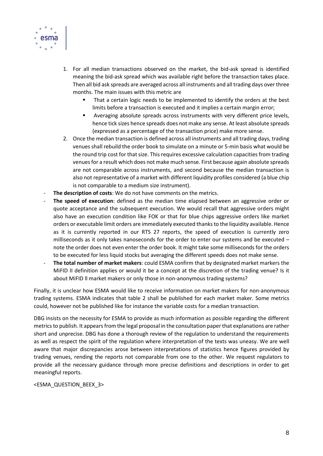

- 1. For all median transactions observed on the market, the bid-ask spread is identified meaning the bid-ask spread which was available right before the transaction takes place. Then all bid ask spreads are averaged across all instruments and all trading days over three months. The main issues with this metric are
	- That a certain logic needs to be implemented to identify the orders at the best limits before a transaction is executed and it implies a certain margin error;
	- Averaging absolute spreads across instruments with very different price levels, hence tick sizes hence spreads does not make any sense. At least absolute spreads (expressed as a percentage of the transaction price) make more sense.
- 2. Once the median transaction is defined across all instruments and all trading days, trading venues shall rebuild the order book to simulate on a minute or 5-min basis what would be the round trip cost for that size. This requires excessive calculation capacities from trading venues for a result which does not make much sense. First because again absolute spreads are not comparable across instruments, and second because the median transaction is also not representative of a market with different liquidity profiles considered (a blue chip is not comparable to a medium size instrument).
- The description of costs: We do not have comments on the metrics.
- The speed of execution: defined as the median time elapsed between an aggressive order or quote acceptance and the subsequent execution. We would recall that aggressive orders might also have an execution condition like FOK or that for blue chips aggressive orders like market orders or executable limit orders are immediately executed thanks to the liquidity available. Hence as it is currently reported in our RTS 27 reports, the speed of execution is currently zero milliseconds as it only takes nanoseconds for the order to enter our systems and be executed – note the order does not even enter the order book. It might take some milliseconds for the orders to be executed for less liquid stocks but averaging the different speeds does not make sense.
- **The total number of market makers**: could ESMA confirm that by designated market markers the MiFID II definition applies or would it be a concept at the discretion of the trading venue? Is it about MiFID ll market makers or only those in non-anonymous trading systems?

Finally, it is unclear how ESMA would like to receive information on market makers for non-anonymous trading systems. ESMA indicates that table 2 shall be published for each market maker. Some metrics could, however not be published like for instance the variable costs for a median transaction.

DBG insists on the necessity for ESMA to provide as much information as possible regarding the different metrics to publish. It appears from the legal proposal in the consultation paper that explanations are rather short and unprecise. DBG has done a thorough review of the regulation to understand the requirements as well as respect the spirit of the regulation where interpretation of the texts was uneasy. We are well aware that major discrepancies arose between interpretations of statistics hence figures provided by trading venues, rending the reports not comparable from one to the other. We request regulators to provide all the necessary guidance through more precise definitions and descriptions in order to get meaningful reports.

<ESMA\_QUESTION\_BEEX\_3>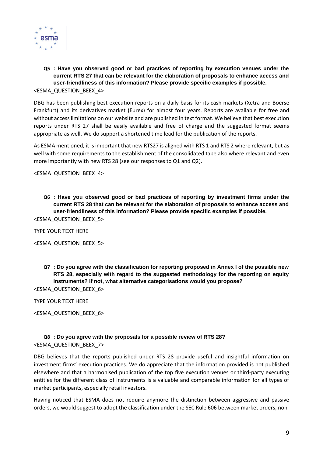

**Q5 : Have you observed good or bad practices of reporting by execution venues under the current RTS 27 that can be relevant for the elaboration of proposals to enhance access and user-friendliness of this information? Please provide specific examples if possible.** <ESMA\_QUESTION\_BEEX\_4>

DBG has been publishing best execution reports on a daily basis for its cash markets (Xetra and Boerse Frankfurt) and its derivatives market (Eurex) for almost four years. Reports are available for free and without access limitations on our website and are published in text format. We believe that best execution reports under RTS 27 shall be easily available and free of charge and the suggested format seems appropriate as well. We do support a shortened time lead for the publication of the reports.

As ESMA mentioned, it is important that new RTS27 is aligned with RTS 1 and RTS 2 where relevant, but as well with some requirements to the establishment of the consolidated tape also where relevant and even more importantly with new RTS 28 (see our responses to Q1 and Q2).

<ESMA\_QUESTION\_BEEX\_4>

**Q6 : Have you observed good or bad practices of reporting by investment firms under the current RTS 28 that can be relevant for the elaboration of proposals to enhance access and user-friendliness of this information? Please provide specific examples if possible.**

<ESMA\_QUESTION\_BEEX\_5>

TYPE YOUR TEXT HERE

<ESMA\_QUESTION\_BEEX\_5>

**Q7 : Do you agree with the classification for reporting proposed in Annex I of the possible new RTS 28, especially with regard to the suggested methodology for the reporting on equity instruments? If not, what alternative categorisations would you propose?**

<ESMA\_QUESTION\_BEEX\_6>

TYPE YOUR TEXT HERE

<ESMA\_QUESTION\_BEEX\_6>

#### **Q8 : Do you agree with the proposals for a possible review of RTS 28?** <ESMA\_QUESTION\_BEEX\_7>

DBG believes that the reports published under RTS 28 provide useful and insightful information on investment firms' execution practices. We do appreciate that the information provided is not published elsewhere and that a harmonised publication of the top five execution venues or third-party executing entities for the different class of instruments is a valuable and comparable information for all types of market participants, especially retail investors.

Having noticed that ESMA does not require anymore the distinction between aggressive and passive orders, we would suggest to adopt the classification under the SEC Rule 606 between market orders, non-